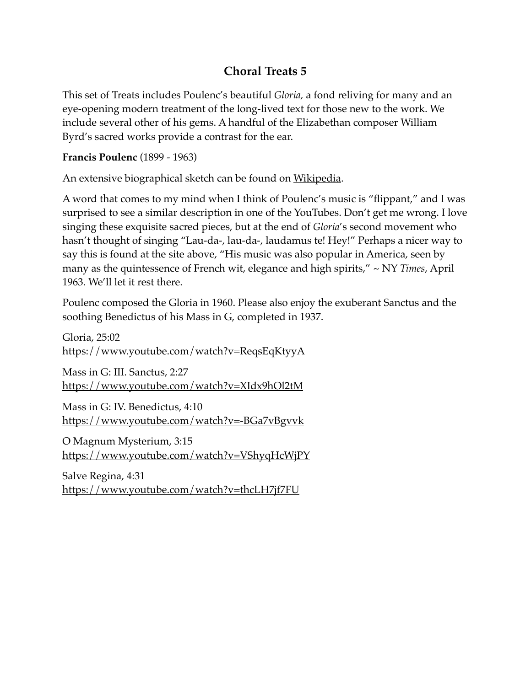## **Choral Treats 5**

This set of Treats includes Poulenc's beautiful *Gloria,* a fond reliving for many and an eye-opening modern treatment of the long-lived text for those new to the work. We include several other of his gems. A handful of the Elizabethan composer William Byrd's sacred works provide a contrast for the ear.

**Francis Poulenc** (1899 - 1963)

An extensive biographical sketch can be found on *[Wikipedia](https://en.wikipedia.org/wiki/Francis_Poulenc)*.

A word that comes to my mind when I think of Poulenc's music is "flippant," and I was surprised to see a similar description in one of the YouTubes. Don't get me wrong. I love singing these exquisite sacred pieces, but at the end of *Gloria*'s second movement who hasn't thought of singing "Lau-da-, lau-da-, laudamus te! Hey!" Perhaps a nicer way to say this is found at the site above, "His music was also popular in America, seen by many as the quintessence of French wit, elegance and high spirits," ~ NY *Times*, April 1963. We'll let it rest there.

Poulenc composed the Gloria in 1960. Please also enjoy the exuberant Sanctus and the soothing Benedictus of his Mass in G, completed in 1937.

Gloria, 25:02 <https://www.youtube.com/watch?v=ReqsEqKtyyA>

Mass in G: III. Sanctus, 2:27 <https://www.youtube.com/watch?v=XIdx9hOl2tM>

Mass in G: IV. Benedictus, 4:10 <https://www.youtube.com/watch?v=-BGa7vBgvvk>

O Magnum Mysterium, 3:15 <https://www.youtube.com/watch?v=VShyqHcWjPY>

Salve Regina, 4:31 <https://www.youtube.com/watch?v=thcLH7jf7FU>